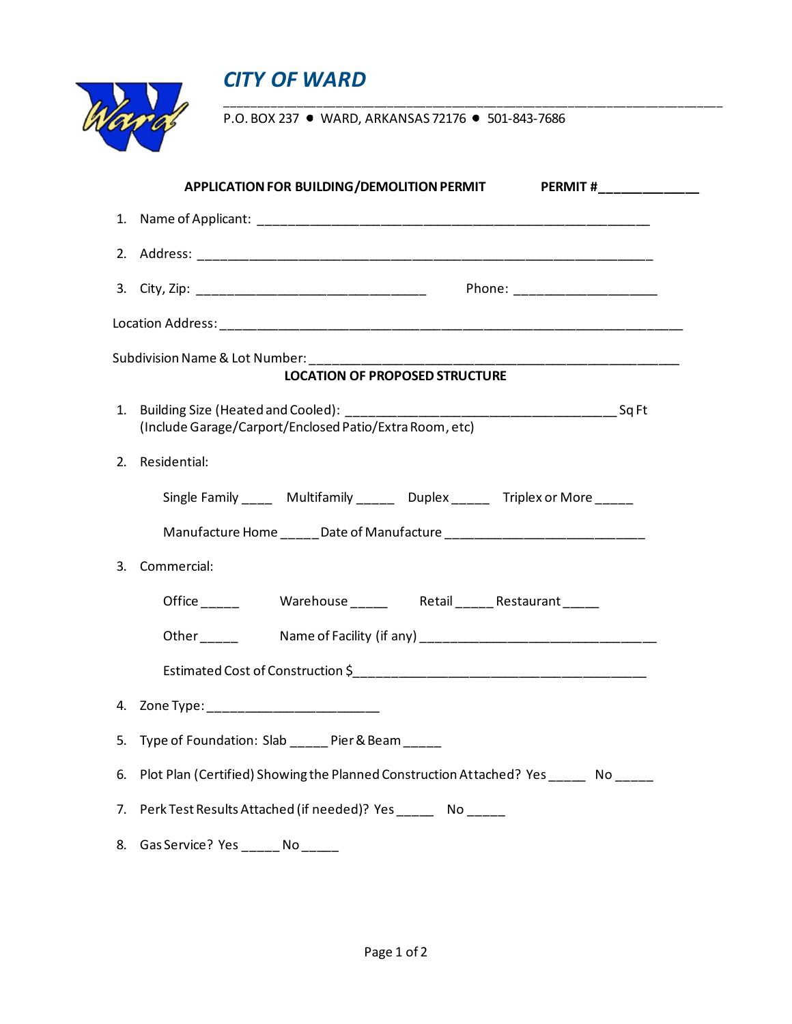



P.O. BOX 237 • WARD, ARKANSAS 72176 • 501-843-7686

\_\_\_\_\_\_\_\_\_\_\_\_\_\_\_\_\_\_\_\_\_\_\_\_\_\_\_\_\_\_\_\_\_\_\_\_\_\_\_\_\_\_\_\_\_\_\_\_\_\_\_\_\_\_\_\_\_\_\_\_\_\_\_\_\_\_\_\_\_\_\_\_\_\_\_\_\_

|                                       | <b>APPLICATION FOR BUILDING/DEMOLITION PERMIT</b><br><b>PERMIT #</b>                  |  |  |
|---------------------------------------|---------------------------------------------------------------------------------------|--|--|
|                                       |                                                                                       |  |  |
|                                       |                                                                                       |  |  |
|                                       | Phone: ______________________                                                         |  |  |
|                                       |                                                                                       |  |  |
| <b>LOCATION OF PROPOSED STRUCTURE</b> |                                                                                       |  |  |
| 1 <sub>1</sub>                        | (Include Garage/Carport/Enclosed Patio/Extra Room, etc)                               |  |  |
| 2.                                    | Residential:                                                                          |  |  |
|                                       | Single Family ______ Multifamily _______ Duplex ______ Triplex or More _____          |  |  |
|                                       |                                                                                       |  |  |
| 3.                                    | Commercial:                                                                           |  |  |
|                                       |                                                                                       |  |  |
|                                       |                                                                                       |  |  |
|                                       |                                                                                       |  |  |
|                                       | 4. Zone Type: __________________________                                              |  |  |
|                                       | 5. Type of Foundation: Slab _____ Pier & Beam _____                                   |  |  |
| 6.                                    | Plot Plan (Certified) Showing the Planned Construction Attached? Yes _______ No _____ |  |  |
| 7.                                    | Perk Test Results Attached (if needed)? Yes _______ No _____                          |  |  |
| 8.                                    | Gas Service? Yes ______ No _____                                                      |  |  |